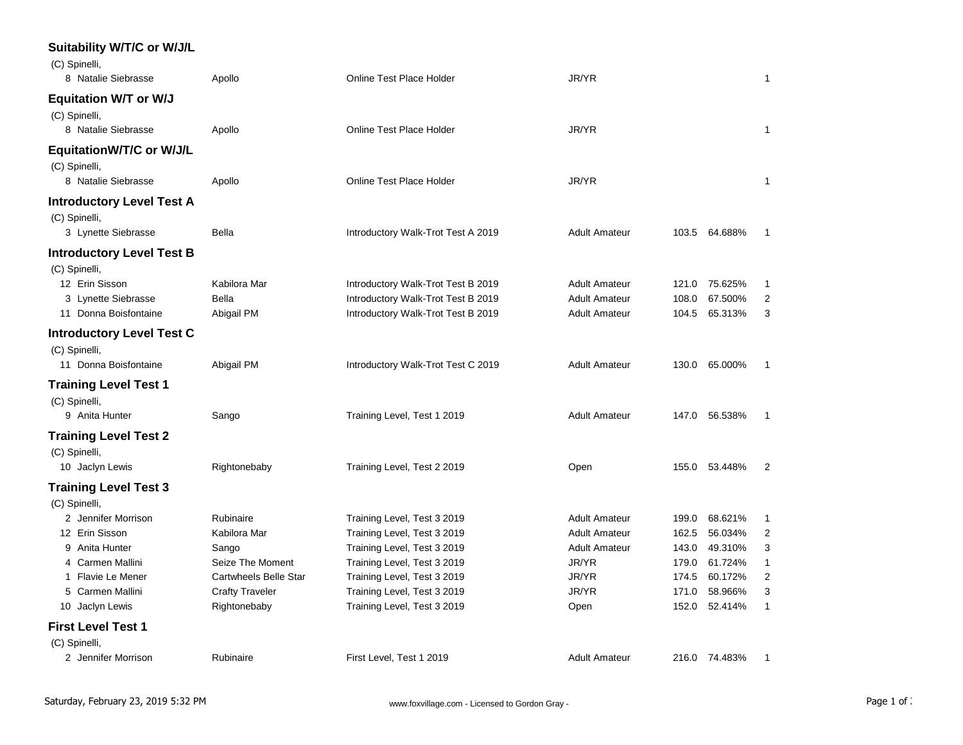| Suitability W/T/C or W/J/L<br>(C) Spinelli,                             |                        |                                    |                      |       |               |                |
|-------------------------------------------------------------------------|------------------------|------------------------------------|----------------------|-------|---------------|----------------|
| 8 Natalie Siebrasse                                                     | Apollo                 | <b>Online Test Place Holder</b>    | JR/YR                |       |               | 1              |
| <b>Equitation W/T or W/J</b><br>(C) Spinelli,<br>8 Natalie Siebrasse    | Apollo                 | <b>Online Test Place Holder</b>    | JR/YR                |       |               | 1              |
| <b>EquitationW/T/C or W/J/L</b><br>(C) Spinelli,<br>8 Natalie Siebrasse | Apollo                 | Online Test Place Holder           | JR/YR                |       |               | 1              |
| <b>Introductory Level Test A</b>                                        |                        |                                    |                      |       |               |                |
| (C) Spinelli,<br>3 Lynette Siebrasse                                    | Bella                  | Introductory Walk-Trot Test A 2019 | <b>Adult Amateur</b> |       | 103.5 64.688% | $\mathbf 1$    |
| <b>Introductory Level Test B</b><br>(C) Spinelli,                       |                        |                                    |                      |       |               |                |
| 12 Erin Sisson                                                          | Kabilora Mar           | Introductory Walk-Trot Test B 2019 | <b>Adult Amateur</b> | 121.0 | 75.625%       | 1              |
| 3 Lynette Siebrasse                                                     | <b>Bella</b>           | Introductory Walk-Trot Test B 2019 | <b>Adult Amateur</b> | 108.0 | 67.500%       | $\overline{c}$ |
| 11 Donna Boisfontaine                                                   | Abigail PM             | Introductory Walk-Trot Test B 2019 | <b>Adult Amateur</b> | 104.5 | 65.313%       | 3              |
| <b>Introductory Level Test C</b><br>(C) Spinelli,                       |                        |                                    |                      |       |               |                |
| 11 Donna Boisfontaine                                                   | Abigail PM             | Introductory Walk-Trot Test C 2019 | <b>Adult Amateur</b> | 130.0 | 65.000%       | 1              |
| <b>Training Level Test 1</b><br>(C) Spinelli,                           |                        |                                    |                      |       |               |                |
| 9 Anita Hunter                                                          | Sango                  | Training Level, Test 1 2019        | <b>Adult Amateur</b> | 147.0 | 56.538%       | $\mathbf 1$    |
| Training Level Test 2<br>(C) Spinelli,                                  |                        |                                    |                      |       |               |                |
| 10 Jaclyn Lewis                                                         | Rightonebaby           | Training Level, Test 2 2019        | Open                 | 155.0 | 53.448%       | $\overline{2}$ |
| <b>Training Level Test 3</b><br>(C) Spinelli,                           |                        |                                    |                      |       |               |                |
| 2 Jennifer Morrison                                                     | Rubinaire              | Training Level, Test 3 2019        | <b>Adult Amateur</b> | 199.0 | 68.621%       | 1              |
| 12 Erin Sisson                                                          | Kabilora Mar           | Training Level, Test 3 2019        | <b>Adult Amateur</b> | 162.5 | 56.034%       | 2              |
| 9 Anita Hunter                                                          | Sango                  | Training Level, Test 3 2019        | <b>Adult Amateur</b> | 143.0 | 49.310%       | 3              |
| Carmen Mallini<br>4                                                     | Seize The Moment       | Training Level, Test 3 2019        | JR/YR                | 179.0 | 61.724%       | $\mathbf{1}$   |
| 1 Flavie Le Mener                                                       | Cartwheels Belle Star  | Training Level, Test 3 2019        | JR/YR                | 174.5 | 60.172%       | $\overline{c}$ |
| 5 Carmen Mallini                                                        | <b>Crafty Traveler</b> | Training Level, Test 3 2019        | JR/YR                | 171.0 | 58.966%       | 3              |
| 10 Jaclyn Lewis                                                         | Rightonebaby           | Training Level, Test 3 2019        | Open                 | 152.0 | 52.414%       | $\mathbf{1}$   |
| <b>First Level Test 1</b>                                               |                        |                                    |                      |       |               |                |
| (C) Spinelli,                                                           |                        |                                    |                      |       |               |                |
| 2 Jennifer Morrison                                                     | Rubinaire              | First Level, Test 1 2019           | <b>Adult Amateur</b> |       | 216.0 74.483% | 1              |